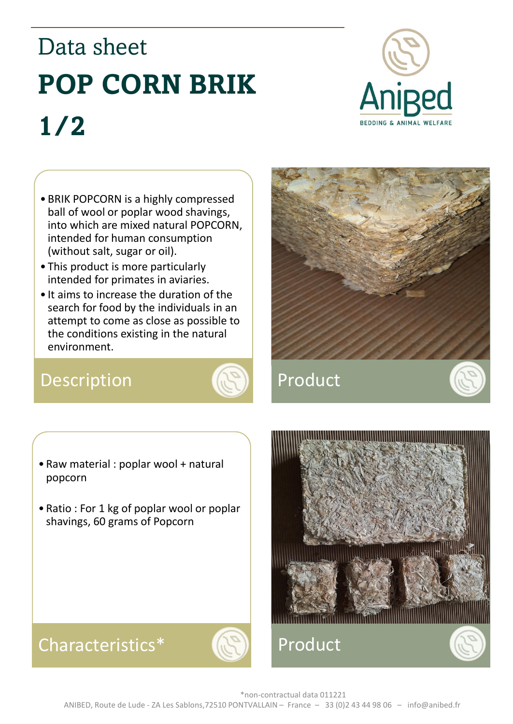# Data sheet **POP CORN BRIK 1/2**



- BRIK POPCORN is a highly compressed ball of wool or poplar wood shavings, into which are mixed natural POPCORN, intended for human consumption (without salt, sugar or oil).
- This product is more particularly intended for primates in aviaries.
- It aims to increase the duration of the search for food by the individuals in an attempt to come as close as possible to the conditions existing in the natural environment.

## Description **AD** Product





- Raw material : poplar wool + natural popcorn
- Ratio : For 1 kg of poplar wool or poplar shavings, 60 grams of Popcorn



#### Characteristics\* (N) Product